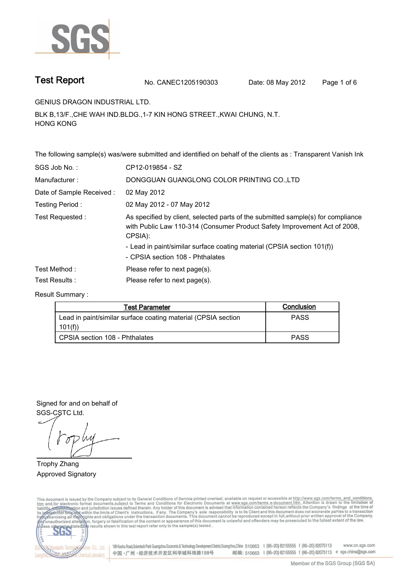

**Test Report No. CANEC1205190303** Date: 08 May 2012 Page 1 of 6

**GENIUS DRAGON INDUSTRIAL LTD..**

**BLK B,13/F.,CHE WAH IND.BLDG.,1-7 KIN HONG STREET.,KWAI CHUNG, N.T. HONG KONG.**

**The following sample(s) was/were submitted and identified on behalf of the clients as : Transparent Vanish Ink.**

| SGS Job No.:             | CP12-019854 - SZ                                                                                                                                                         |
|--------------------------|--------------------------------------------------------------------------------------------------------------------------------------------------------------------------|
| Manufacturer:            | DONGGUAN GUANGLONG COLOR PRINTING CO., LTD                                                                                                                               |
| Date of Sample Received: | 02 May 2012                                                                                                                                                              |
| Testing Period:          | 02 May 2012 - 07 May 2012                                                                                                                                                |
| Test Requested:          | As specified by client, selected parts of the submitted sample(s) for compliance<br>with Public Law 110-314 (Consumer Product Safety Improvement Act of 2008,<br>CPSIA): |
|                          | - Lead in paint/similar surface coating material (CPSIA section 101(f))<br>- CPSIA section 108 - Phthalates                                                              |
| Test Method :            | Please refer to next page(s).                                                                                                                                            |
| Test Results :           | Please refer to next page(s).                                                                                                                                            |

**Result Summary :.**

| Test Parameter                                                | Conclusion  |
|---------------------------------------------------------------|-------------|
| Lead in paint/similar surface coating material (CPSIA section | <b>PASS</b> |
| 101(f)                                                        |             |
| l_CPSIA section 108 - Phthalates                              | <b>PASS</b> |

**Signed for and on behalf of SGS-CSTC Ltd..**

**Trophy Zhang. Approved Signatory. . .**

This document is issued by the Company subject to its General Conditions of Service printed overleaf, available on request or accessible at http://www.sgs.com/terms\_and\_conditions.<br>htm\_and, for electronic format documents,



198 Kezhu Road,Scientech Park Guangzhou Economic & Technology Development District,Guangzhou,China 510663 t (86-20) 82155555 f (86-20) 82075113 www.cn.sgs.com 邮编: 510663 t (86-20) 82155555 f (86-20) 82075113 e sgs.china@sgs.com 中国·广州·经济技术开发区科学城科珠路198号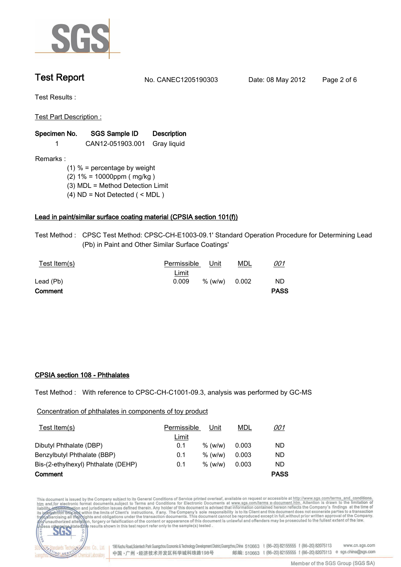

**Test Report. No. CANEC1205190303 Date: 08 May 2012. Page 2 of 6.**

**Test Results :.**

**Test Part Description :.**

| Specimen No. | <b>SGS Sample ID</b> | <b>Description</b> |  |
|--------------|----------------------|--------------------|--|
|--------------|----------------------|--------------------|--|

**1. CAN12-051903.001 Gray liquid.**

**Remarks :**

- **(1) % = percentage by weight**
- **(2) 1% = 10000ppm ( mg/kg )**
- **(3) MDL = Method Detection Limit**
- **(4) ND = Not Detected ( < MDL )**

## **Lead in paint/similar surface coating material (CPSIA section 101(f)).**

**Test Method :. CPSC Test Method: CPSC-CH-E1003-09.1' Standard Operation Procedure for Determining Lead (Pb) in Paint and Other Similar Surface Coatings'.**

| Test Item(s) | Permissible  | Unit      | <u>MDL</u> | <u>001</u>  |  |
|--------------|--------------|-----------|------------|-------------|--|
|              | <u>Limit</u> |           |            |             |  |
| Lead (Pb)    | 0.009        | $%$ (w/w) | 0.002      | <b>ND</b>   |  |
| Comment      |              |           |            | <b>PASS</b> |  |

## **CPSIA section 108 - Phthalates.**

**Test Method :. With reference to CPSC-CH-C1001-09.3, analysis was performed by GC-MS.**

**Concentration of phthalates in components of toy product**

| Test Item $(s)$                     | Permissible  | Unit      | MDL   | <u>001</u>  |
|-------------------------------------|--------------|-----------|-------|-------------|
|                                     | <u>Limit</u> |           |       |             |
| Dibutyl Phthalate (DBP)             | 0.1          | % (w/w)   | 0.003 | ND          |
| Benzylbutyl Phthalate (BBP)         | 0.1          | $%$ (w/w) | 0.003 | ND          |
| Bis-(2-ethylhexyl) Phthalate (DEHP) | 0.1          | $%$ (w/w) | 0.003 | ND          |
| Comment                             |              |           |       | <b>PASS</b> |

This document is issued by the Company subject to its General Conditions of Service printed overleaf, available on request or accessible at http://www.sgs.com/terms\_and\_conditions.<br>htm\_and,for electronic format documents,s



co

198 Kezhu Road, Scientech Park Guangzhou Economic & Technology Development District, Guangzhou, China 510663 t (86-20) 82155555 f (86-20) 82075113 www.cn.sgs.com 邮编: 510663 t (86-20) 82155555 f (86-20) 82075113 e sgs.china@sgs.com 中国·广州·经济技术开发区科学城科珠路198号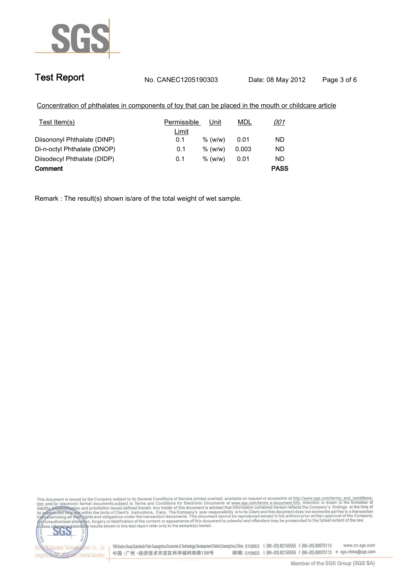

| Concentration of phthalates in components of toy that can be placed in the mouth or childcare article |                            |      |            |  |
|-------------------------------------------------------------------------------------------------------|----------------------------|------|------------|--|
| Test Item(s)                                                                                          | <b>Permissible</b><br>Unit | MDL  | <i>001</i> |  |
|                                                                                                       | Limit                      |      |            |  |
| Diisononyl Phthalate (DINP)                                                                           | $%$ (w/w)<br>0.1           | 0.01 | ND         |  |

**Comment. PASS**

**Remark : The result(s) shown is/are of the total weight of wet sample..**

**Di-n-octyl Phthalate (DNOP). 0.1 % (w/w). 0.003 ND Diisodecyl Phthalate (DIDP). 0.1. % (w/w). 0.01 ND**

This document is issued by the Company subject to its General Conditions of Service printed overleaf, available on request or accessible at http://www.sgs.com/terms\_and\_conditions.<br>It and for electronic format documents,su CO.LTD 565



Vices Co., Ltd. | 198 Kezhu Road,Scientech Park Guangzhou Economic & Technology Development District,Guangzhou,China 510663 t (86–20) 82155555 f (86–20) 82075113 www.cn.sgs.com 邮编: 510663 t (86-20) 82155555 f (86-20) 82075113 e sgs.china@sgs.com 中国·广州·经济技术开发区科学城科珠路198号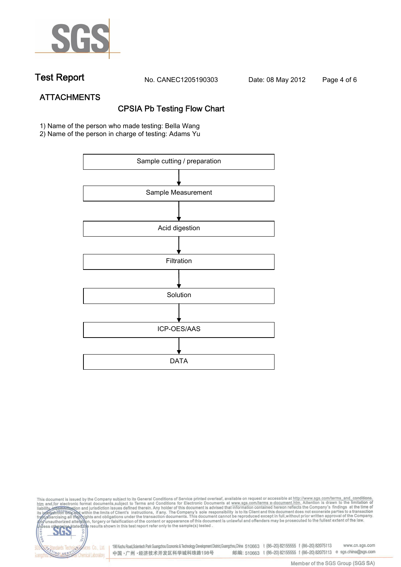

**Test Report. No. CANEC1205190303 Date: 08 May 2012. Page 4 of 6.**

# **ATTACHMENTS CPSIA Pb Testing Flow Chart**

**1)** Name of the person who made testing**: Bella Wang**

**2)** Name of the person in charge of testing**: Adams Yu**



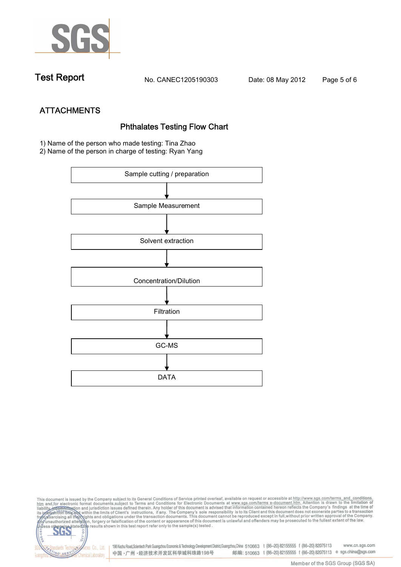

**Test Report. No. CANEC1205190303 Date: 08 May 2012. Page 5 of 6.**

**ATTACHMENTS Phthalates Testing Flow Chart 1)** Name of the person who made testing: **Tina Zhao**

**2)** Name of the person in charge of testing: **Ryan Yang**



This document is issued by the Company subject to its General Conditions of Service printed overleaf, available on request or accessible at http://www.sgs.com/terms\_and\_conditions.<br>It and for electronic format documents,su co **202** 198 Kezhu Road,Scientech Park Guangzhou Economic & Technology Development District,Guangzhou,China 510663 t (86-20) 82155555 f (86-20) 82075113 www.cn.sgs.com Co., Ltd. dards Tec 邮编: 510663 t (86-20) 82155555 f (86-20) 82075113 e sgs.china@sgs.com 中国·广州·经济技术开发区科学城科珠路198号 NG SER **Chemical Laboratory**